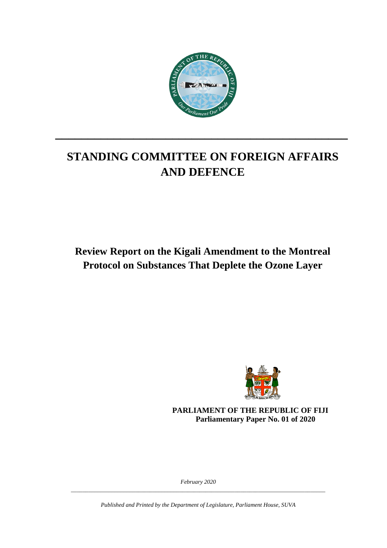

# **STANDING COMMITTEE ON FOREIGN AFFAIRS AND DEFENCE**

**\_\_\_\_\_\_\_\_\_\_\_\_\_\_\_\_\_\_\_\_\_\_\_\_\_\_\_\_\_\_\_\_\_\_\_\_\_\_\_\_\_\_\_\_\_**

**Review Report on the Kigali Amendment to the Montreal Protocol on Substances That Deplete the Ozone Layer**



**PARLIAMENT OF THE REPUBLIC OF FIJI Parliamentary Paper No. 01 of 2020**

*February 2020 \_\_\_\_\_\_\_\_\_\_\_\_\_\_\_\_\_\_\_\_\_\_\_\_\_\_\_\_\_\_\_\_\_\_\_\_\_\_\_\_\_\_\_\_\_\_\_\_\_\_\_\_\_\_\_\_\_\_\_\_\_\_\_\_\_\_\_\_\_\_\_\_\_\_\_\_\_\_\_\_\_\_\_\_\_\_\_*

*Published and Printed by the Department of Legislature, Parliament House, SUVA*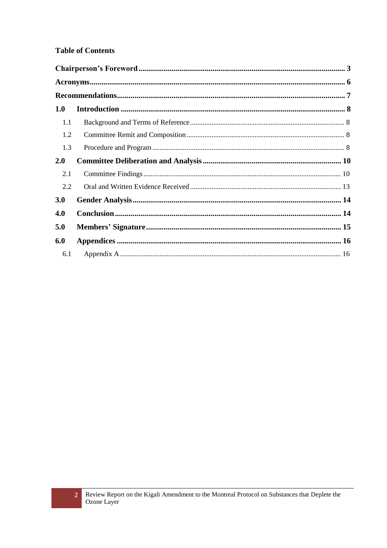#### **Table of Contents**

| 1.0 |  |  |  |  |  |
|-----|--|--|--|--|--|
| 1.1 |  |  |  |  |  |
| 1.2 |  |  |  |  |  |
| 1.3 |  |  |  |  |  |
| 2.0 |  |  |  |  |  |
| 2.1 |  |  |  |  |  |
| 2.2 |  |  |  |  |  |
| 3.0 |  |  |  |  |  |
| 4.0 |  |  |  |  |  |
| 5.0 |  |  |  |  |  |
| 6.0 |  |  |  |  |  |
| 6.1 |  |  |  |  |  |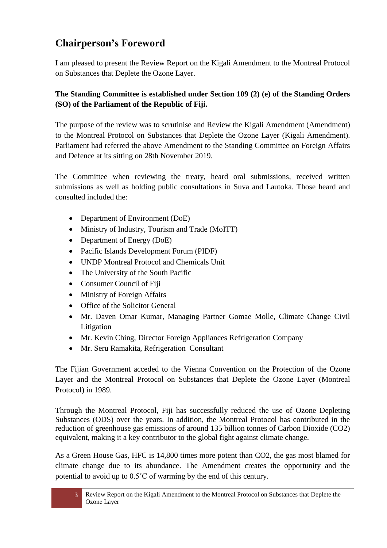## <span id="page-2-0"></span>**Chairperson's Foreword**

I am pleased to present the Review Report on the Kigali Amendment to the Montreal Protocol on Substances that Deplete the Ozone Layer.

#### **The Standing Committee is established under Section 109 (2) (e) of the Standing Orders (SO) of the Parliament of the Republic of Fiji.**

The purpose of the review was to scrutinise and Review the Kigali Amendment (Amendment) to the Montreal Protocol on Substances that Deplete the Ozone Layer (Kigali Amendment). Parliament had referred the above Amendment to the Standing Committee on Foreign Affairs and Defence at its sitting on 28th November 2019.

The Committee when reviewing the treaty, heard oral submissions, received written submissions as well as holding public consultations in Suva and Lautoka. Those heard and consulted included the:

- Department of Environment (DoE)
- Ministry of Industry, Tourism and Trade (MoITT)
- Department of Energy (DoE)
- Pacific Islands Development Forum (PIDF)
- UNDP Montreal Protocol and Chemicals Unit
- The University of the South Pacific
- Consumer Council of Fiji
- Ministry of Foreign Affairs
- Office of the Solicitor General
- Mr. Daven Omar Kumar, Managing Partner Gomae Molle, Climate Change Civil Litigation
- Mr. Kevin Ching, Director Foreign Appliances Refrigeration Company
- Mr. Seru Ramakita, Refrigeration Consultant

The Fijian Government acceded to the Vienna Convention on the Protection of the Ozone Layer and the Montreal Protocol on Substances that Deplete the Ozone Layer (Montreal Protocol) in 1989.

Through the Montreal Protocol, Fiji has successfully reduced the use of Ozone Depleting Substances (ODS) over the years. In addition, the Montreal Protocol has contributed in the reduction of greenhouse gas emissions of around 135 billion tonnes of Carbon Dioxide (CO2) equivalent, making it a key contributor to the global fight against climate change.

As a Green House Gas, HFC is 14,800 times more potent than CO2, the gas most blamed for climate change due to its abundance. The Amendment creates the opportunity and the potential to avoid up to 0.5˚C of warming by the end of this century.

<sup>3</sup> Review Report on the Kigali Amendment to the Montreal Protocol on Substances that Deplete the Ozone Layer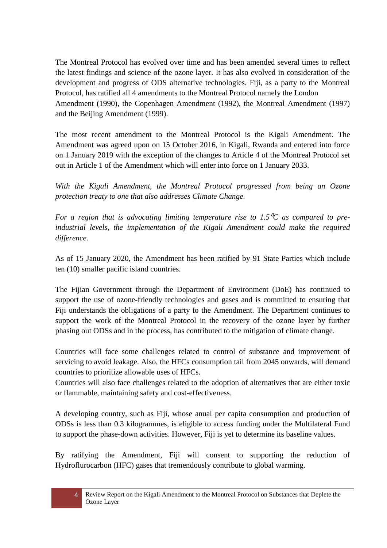The Montreal Protocol has evolved over time and has been amended several times to reflect the latest findings and science of the ozone layer. It has also evolved in consideration of the development and progress of ODS alternative technologies. Fiji, as a party to the Montreal Protocol, has ratified all 4 amendments to the Montreal Protocol namely the London Amendment (1990), the Copenhagen Amendment (1992), the Montreal Amendment (1997) and the Beijing Amendment (1999).

The most recent amendment to the Montreal Protocol is the Kigali Amendment. The Amendment was agreed upon on 15 October 2016, in Kigali, Rwanda and entered into force on 1 January 2019 with the exception of the changes to Article 4 of the Montreal Protocol set out in Article 1 of the Amendment which will enter into force on 1 January 2033.

*With the Kigali Amendment, the Montreal Protocol progressed from being an Ozone protection treaty to one that also addresses Climate Change.* 

For a region that is advocating limiting temperature rise to 1.5<sup>o</sup>C as compared to pre*industrial levels, the implementation of the Kigali Amendment could make the required difference*.

As of 15 January 2020, the Amendment has been ratified by 91 State Parties which include ten (10) smaller pacific island countries.

The Fijian Government through the Department of Environment (DoE) has continued to support the use of ozone-friendly technologies and gases and is committed to ensuring that Fiji understands the obligations of a party to the Amendment. The Department continues to support the work of the Montreal Protocol in the recovery of the ozone layer by further phasing out ODSs and in the process, has contributed to the mitigation of climate change.

Countries will face some challenges related to control of substance and improvement of servicing to avoid leakage. Also, the HFCs consumption tail from 2045 onwards, will demand countries to prioritize allowable uses of HFCs.

Countries will also face challenges related to the adoption of alternatives that are either toxic or flammable, maintaining safety and cost-effectiveness.

A developing country, such as Fiji, whose anual per capita consumption and production of ODSs is less than 0.3 kilogrammes, is eligible to access funding under the Multilateral Fund to support the phase-down activities. However, Fiji is yet to determine its baseline values.

By ratifying the Amendment, Fiji will consent to supporting the reduction of Hydroflurocarbon (HFC) gases that tremendously contribute to global warming.

<sup>4</sup> Review Report on the Kigali Amendment to the Montreal Protocol on Substances that Deplete the Ozone Layer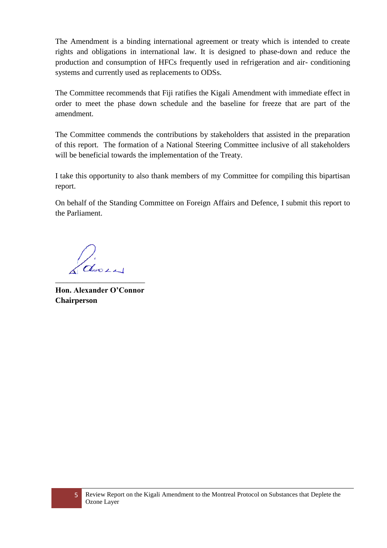The Amendment is a binding international agreement or treaty which is intended to create rights and obligations in international law. It is designed to phase-down and reduce the production and consumption of HFCs frequently used in refrigeration and air- conditioning systems and currently used as replacements to ODSs.

The Committee recommends that Fiji ratifies the Kigali Amendment with immediate effect in order to meet the phase down schedule and the baseline for freeze that are part of the amendment.

The Committee commends the contributions by stakeholders that assisted in the preparation of this report. The formation of a National Steering Committee inclusive of all stakeholders will be beneficial towards the implementation of the Treaty.

I take this opportunity to also thank members of my Committee for compiling this bipartisan report.

On behalf of the Standing Committee on Foreign Affairs and Defence, I submit this report to the Parliament.

dors \_\_\_\_\_\_\_\_\_\_\_\_\_\_\_\_\_\_\_\_\_\_\_

**Hon. Alexander O'Connor Chairperson**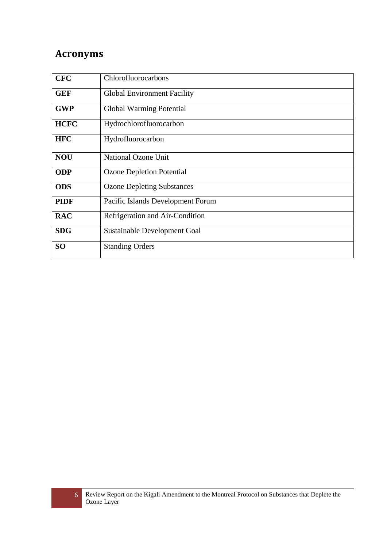## <span id="page-5-0"></span>**Acronyms**

| <b>CFC</b>  | Chlorofluorocarbons                |
|-------------|------------------------------------|
| <b>GEF</b>  | <b>Global Environment Facility</b> |
| <b>GWP</b>  | Global Warming Potential           |
| <b>HCFC</b> | Hydrochlorofluorocarbon            |
| <b>HFC</b>  | Hydrofluorocarbon                  |
| <b>NOU</b>  | National Ozone Unit                |
| <b>ODP</b>  | <b>Ozone Depletion Potential</b>   |
| <b>ODS</b>  | <b>Ozone Depleting Substances</b>  |
| <b>PIDF</b> | Pacific Islands Development Forum  |
| <b>RAC</b>  | Refrigeration and Air-Condition    |
| <b>SDG</b>  | Sustainable Development Goal       |
| <b>SO</b>   | <b>Standing Orders</b>             |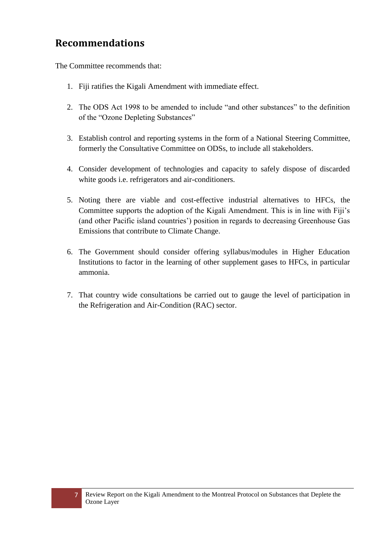## <span id="page-6-0"></span>**Recommendations**

The Committee recommends that:

- 1. Fiji ratifies the Kigali Amendment with immediate effect.
- 2. The ODS Act 1998 to be amended to include "and other substances" to the definition of the "Ozone Depleting Substances"
- 3. Establish control and reporting systems in the form of a National Steering Committee, formerly the Consultative Committee on ODSs, to include all stakeholders.
- 4. Consider development of technologies and capacity to safely dispose of discarded white goods i.e. refrigerators and air-conditioners.
- 5. Noting there are viable and cost-effective industrial alternatives to HFCs, the Committee supports the adoption of the Kigali Amendment. This is in line with Fiji's (and other Pacific island countries') position in regards to decreasing Greenhouse Gas Emissions that contribute to Climate Change.
- 6. The Government should consider offering syllabus/modules in Higher Education Institutions to factor in the learning of other supplement gases to HFCs, in particular ammonia.
- 7. That country wide consultations be carried out to gauge the level of participation in the Refrigeration and Air-Condition (RAC) sector.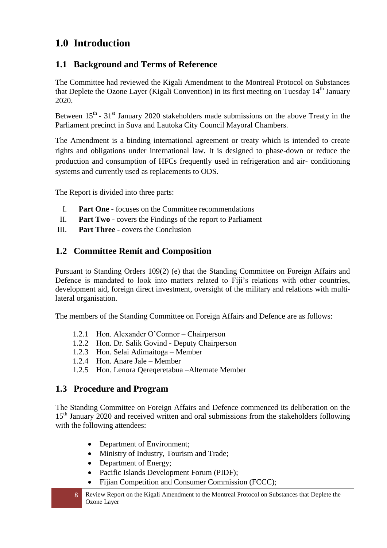## <span id="page-7-0"></span>**1.0 Introduction**

### <span id="page-7-1"></span>**1.1 Background and Terms of Reference**

The Committee had reviewed the Kigali Amendment to the Montreal Protocol on Substances that Deplete the Ozone Layer (Kigali Convention) in its first meeting on Tuesday 14<sup>th</sup> January 2020.

Between  $15<sup>th</sup>$  -  $31<sup>st</sup>$  January 2020 stakeholders made submissions on the above Treaty in the Parliament precinct in Suva and Lautoka City Council Mayoral Chambers.

The Amendment is a binding international agreement or treaty which is intended to create rights and obligations under international law. It is designed to phase-down or reduce the production and consumption of HFCs frequently used in refrigeration and air- conditioning systems and currently used as replacements to ODS.

The Report is divided into three parts:

- I. **Part One** focuses on the Committee recommendations
- II. **Part Two** covers the Findings of the report to Parliament
- III. **Part Three** covers the Conclusion

### <span id="page-7-2"></span>**1.2 Committee Remit and Composition**

Pursuant to Standing Orders 109(2) (e) that the Standing Committee on Foreign Affairs and Defence is mandated to look into matters related to Fiji's relations with other countries, development aid, foreign direct investment, oversight of the military and relations with multilateral organisation.

The members of the Standing Committee on Foreign Affairs and Defence are as follows:

- 1.2.1 Hon. Alexander O'Connor Chairperson
- 1.2.2 Hon. Dr. Salik Govind Deputy Chairperson
- 1.2.3 Hon. Selai Adimaitoga Member
- 1.2.4 Hon. Anare Jale Member
- 1.2.5 Hon. Lenora Qereqeretabua –Alternate Member

#### <span id="page-7-3"></span>**1.3 Procedure and Program**

The Standing Committee on Foreign Affairs and Defence commenced its deliberation on the 15<sup>th</sup> January 2020 and received written and oral submissions from the stakeholders following with the following attendees:

- Department of Environment;
- Ministry of Industry, Tourism and Trade;
- Department of Energy;
- Pacific Islands Development Forum (PIDF);
- Fijian Competition and Consumer Commission (FCCC):
- 8 Review Report on the Kigali Amendment to the Montreal Protocol on Substances that Deplete the Ozone Layer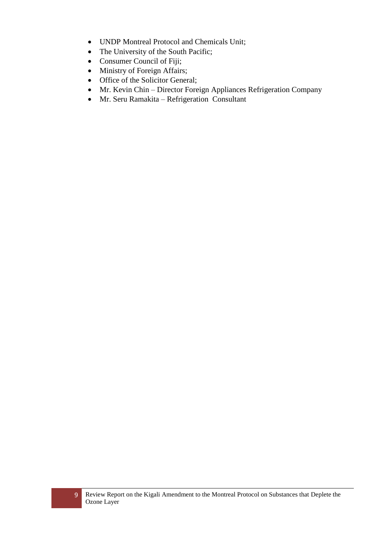- UNDP Montreal Protocol and Chemicals Unit;
- The University of the South Pacific;
- Consumer Council of Fiji;
- Ministry of Foreign Affairs;
- Office of the Solicitor General;
- Mr. Kevin Chin Director Foreign Appliances Refrigeration Company
- Mr. Seru Ramakita Refrigeration Consultant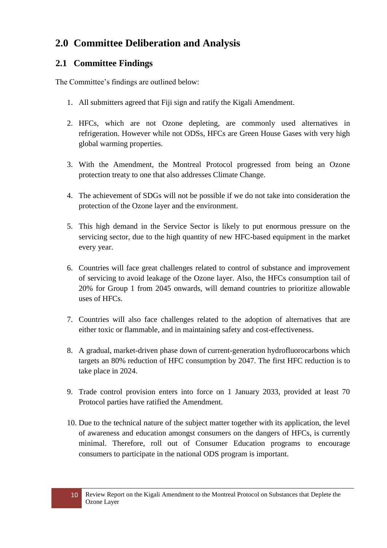## <span id="page-9-0"></span>**2.0 Committee Deliberation and Analysis**

### <span id="page-9-1"></span>**2.1 Committee Findings**

The Committee's findings are outlined below:

- 1. All submitters agreed that Fiji sign and ratify the Kigali Amendment.
- 2. HFCs, which are not Ozone depleting, are commonly used alternatives in refrigeration. However while not ODSs, HFCs are Green House Gases with very high global warming properties.
- 3. With the Amendment, the Montreal Protocol progressed from being an Ozone protection treaty to one that also addresses Climate Change.
- 4. The achievement of SDGs will not be possible if we do not take into consideration the protection of the Ozone layer and the environment.
- 5. This high demand in the Service Sector is likely to put enormous pressure on the servicing sector, due to the high quantity of new HFC-based equipment in the market every year.
- 6. Countries will face great challenges related to control of substance and improvement of servicing to avoid leakage of the Ozone layer. Also, the HFCs consumption tail of 20% for Group 1 from 2045 onwards, will demand countries to prioritize allowable uses of HFCs.
- 7. Countries will also face challenges related to the adoption of alternatives that are either toxic or flammable, and in maintaining safety and cost-effectiveness.
- 8. A gradual, market-driven phase down of current-generation hydrofluorocarbons which targets an 80% reduction of HFC consumption by 2047. The first HFC reduction is to take place in 2024.
- 9. Trade control provision enters into force on 1 January 2033, provided at least 70 Protocol parties have ratified the Amendment.
- 10. Due to the technical nature of the subject matter together with its application, the level of awareness and education amongst consumers on the dangers of HFCs, is currently minimal. Therefore, roll out of Consumer Education programs to encourage consumers to participate in the national ODS program is important.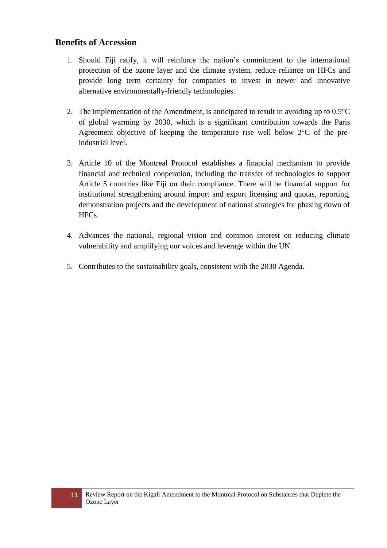#### **Benefits of Accession**

- 1. Should Fiji ratify, it will reinforce the nation's commitment to the international protection of the ozone layer and the climate system, reduce reliance on HFCs and provide long term certainty for companies to invest in newer and innovative alternative environmentally-friendly technologies.
- 2. The implementation of the Amendment, is anticipated to result in avoiding up to  $0.5^{\circ}$ C of global warming by 2030, which is a significant contribution towards the Paris Agreement objective of keeping the temperature rise well below  $2^{\circ}C$  of the preindustrial level.
- 3. Article 10 of the Montreal Protocol establishes a financial mechanism to provide financial and technical cooperation, including the transfer of technologies to support Article 5 countries like Fiji on their compliance. There will be financial support for institutional strengthening around import and export licensing and quotas, reporting, demonstration projects and the development of national strategies for phasing down of HFCs.
- 4. Advances the national, regional vision and common interest on reducing climate vulnerability and amplifying our voices and leverage within the UN.
- 5. Contributes to the sustainability goals, consistent with the 2030 Agenda.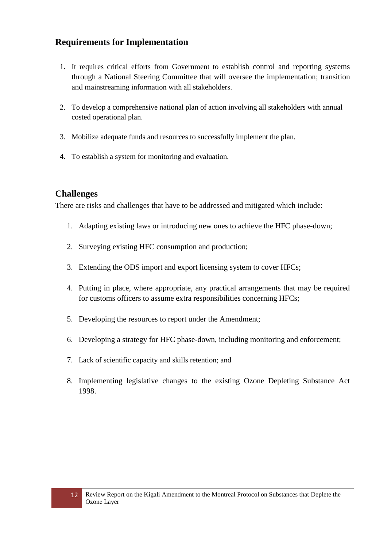### **Requirements for Implementation**

- 1. It requires critical efforts from Government to establish control and reporting systems through a National Steering Committee that will oversee the implementation; transition and mainstreaming information with all stakeholders.
- 2. To develop a comprehensive national plan of action involving all stakeholders with annual costed operational plan.
- 3. Mobilize adequate funds and resources to successfully implement the plan.
- 4. To establish a system for monitoring and evaluation.

#### **Challenges**

There are risks and challenges that have to be addressed and mitigated which include:

- 1. Adapting existing laws or introducing new ones to achieve the HFC phase-down;
- 2. Surveying existing HFC consumption and production;
- 3. Extending the ODS import and export licensing system to cover HFCs;
- 4. Putting in place, where appropriate, any practical arrangements that may be required for customs officers to assume extra responsibilities concerning HFCs;
- 5. Developing the resources to report under the Amendment;
- 6. Developing a strategy for HFC phase-down, including monitoring and enforcement;
- 7. Lack of scientific capacity and skills retention; and
- 8. Implementing legislative changes to the existing Ozone Depleting Substance Act 1998.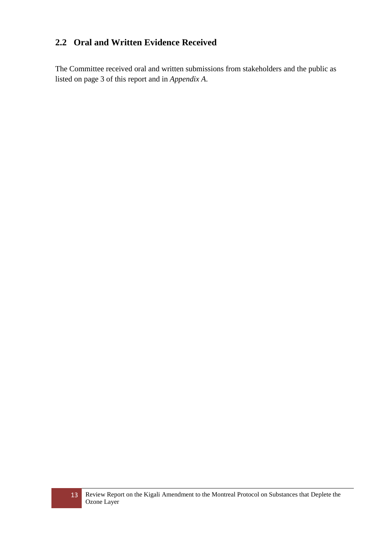### <span id="page-12-0"></span>**2.2 Oral and Written Evidence Received**

The Committee received oral and written submissions from stakeholders and the public as listed on page 3 of this report and in *Appendix A*.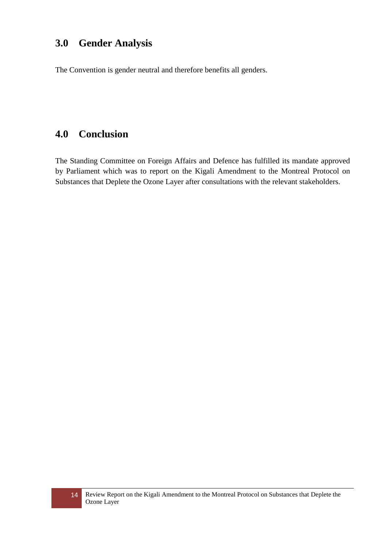### <span id="page-13-0"></span>**3.0 Gender Analysis**

The Convention is gender neutral and therefore benefits all genders.

## <span id="page-13-1"></span>**4.0 Conclusion**

The Standing Committee on Foreign Affairs and Defence has fulfilled its mandate approved by Parliament which was to report on the Kigali Amendment to the Montreal Protocol on Substances that Deplete the Ozone Layer after consultations with the relevant stakeholders.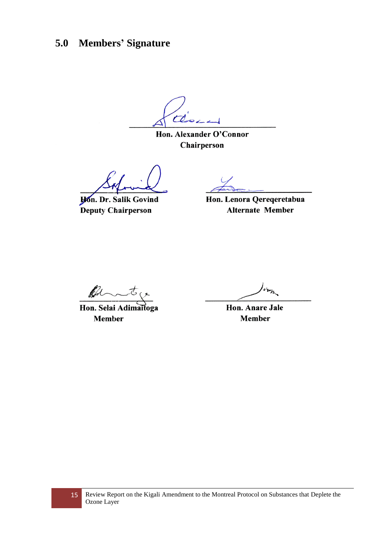# <span id="page-14-0"></span>**5.0 Members' Signature**

t b ر دی

Hon. Alexander O'Connor Chairperson

**Hon. Dr. Salik Govind** Deputy Chairperson

Hon. Lenora Qereqeretabua **Alternate Member** 

ff

Hon. Selai Adimaitoga **Member** 

Hon. Anare Jale **Member**